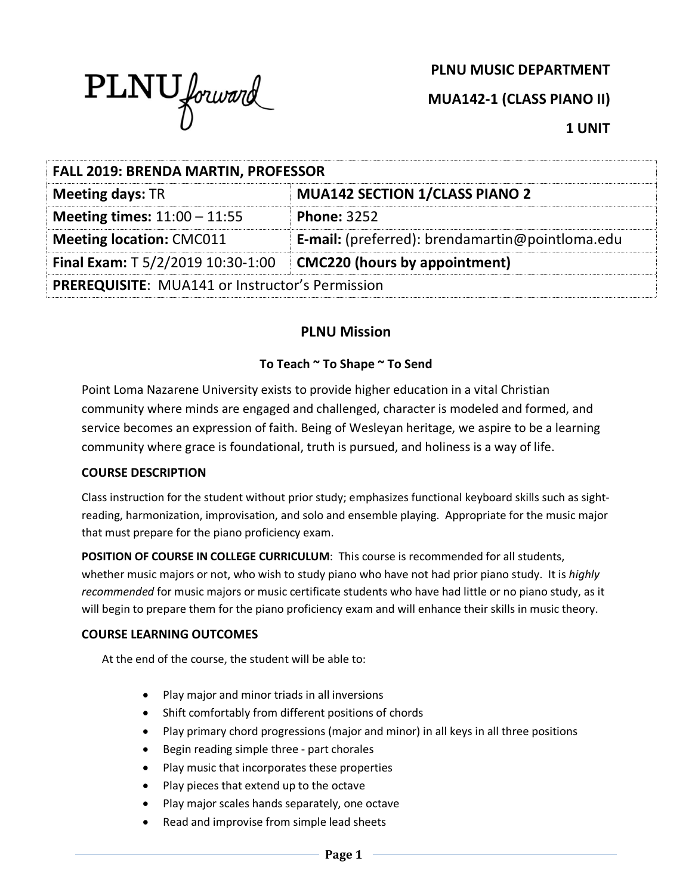

**PLNU MUSIC DEPARTMENT**

**MUA142-1 (CLASS PIANO II)**

**1 UNIT**

| <b>FALL 2019: BRENDA MARTIN, PROFESSOR</b>             |                                                 |  |
|--------------------------------------------------------|-------------------------------------------------|--|
| <b>Meeting days: TR</b>                                | <b>MUA142 SECTION 1/CLASS PIANO 2</b>           |  |
| <b>Meeting times:</b> $11:00 - 11:55$                  | <b>Phone: 3252</b>                              |  |
| <b>Meeting location: CMC011</b>                        | E-mail: (preferred): brendamartin@pointloma.edu |  |
| Final Exam: T 5/2/2019 10:30-1:00                      | CMC220 (hours by appointment)                   |  |
| <b>PREREQUISITE: MUA141 or Instructor's Permission</b> |                                                 |  |

# **PLNU Mission**

## **To Teach ~ To Shape ~ To Send**

Point Loma Nazarene University exists to provide higher education in a vital Christian community where minds are engaged and challenged, character is modeled and formed, and service becomes an expression of faith. Being of Wesleyan heritage, we aspire to be a learning community where grace is foundational, truth is pursued, and holiness is a way of life.

## **COURSE DESCRIPTION**

Class instruction for the student without prior study; emphasizes functional keyboard skills such as sightreading, harmonization, improvisation, and solo and ensemble playing. Appropriate for the music major that must prepare for the piano proficiency exam.

**POSITION OF COURSE IN COLLEGE CURRICULUM**: This course is recommended for all students, whether music majors or not, who wish to study piano who have not had prior piano study. It is *highly recommended* for music majors or music certificate students who have had little or no piano study, as it will begin to prepare them for the piano proficiency exam and will enhance their skills in music theory.

## **COURSE LEARNING OUTCOMES**

At the end of the course, the student will be able to:

- Play major and minor triads in all inversions
- Shift comfortably from different positions of chords
- Play primary chord progressions (major and minor) in all keys in all three positions
- Begin reading simple three part chorales
- Play music that incorporates these properties
- Play pieces that extend up to the octave
- Play major scales hands separately, one octave
- Read and improvise from simple lead sheets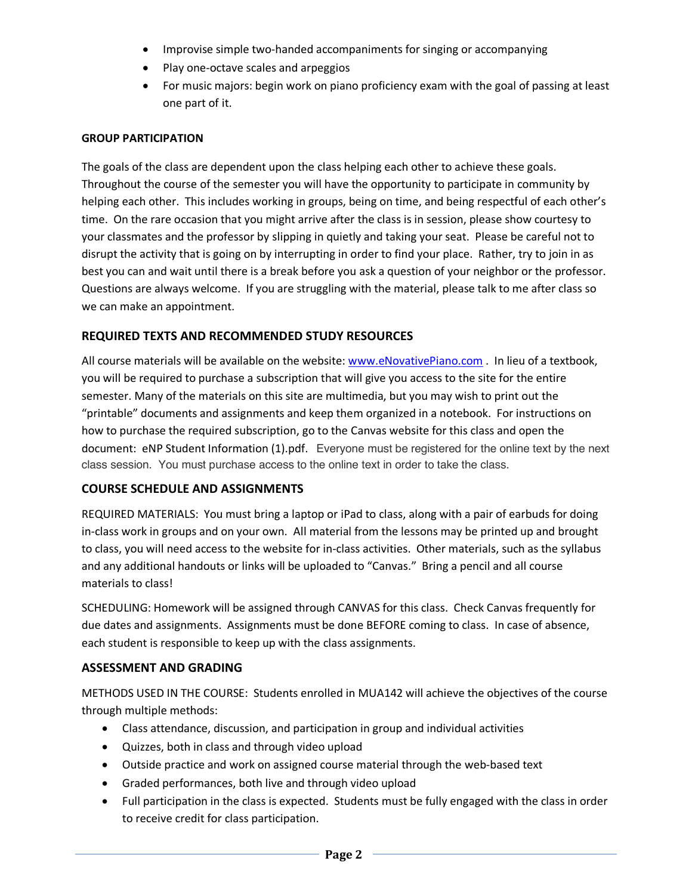- Improvise simple two-handed accompaniments for singing or accompanying
- Play one-octave scales and arpeggios
- For music majors: begin work on piano proficiency exam with the goal of passing at least one part of it.

#### **GROUP PARTICIPATION**

The goals of the class are dependent upon the class helping each other to achieve these goals. Throughout the course of the semester you will have the opportunity to participate in community by helping each other. This includes working in groups, being on time, and being respectful of each other's time. On the rare occasion that you might arrive after the class is in session, please show courtesy to your classmates and the professor by slipping in quietly and taking your seat. Please be careful not to disrupt the activity that is going on by interrupting in order to find your place. Rather, try to join in as best you can and wait until there is a break before you ask a question of your neighbor or the professor. Questions are always welcome. If you are struggling with the material, please talk to me after class so we can make an appointment.

#### **REQUIRED TEXTS AND RECOMMENDED STUDY RESOURCES**

All course materials will be available on the website: www.eNovativePiano.com . In lieu of a textbook, you will be required to purchase a subscription that will give you access to the site for the entire semester. Many of the materials on this site are multimedia, but you may wish to print out the "printable" documents and assignments and keep them organized in a notebook. For instructions on how to purchase the required subscription, go to the Canvas website for this class and open the document: eNP Student Information (1).pdf. Everyone must be registered for the online text by the next class session. You must purchase access to the online text in order to take the class.

#### **COURSE SCHEDULE AND ASSIGNMENTS**

REQUIRED MATERIALS: You must bring a laptop or iPad to class, along with a pair of earbuds for doing in-class work in groups and on your own. All material from the lessons may be printed up and brought to class, you will need access to the website for in-class activities. Other materials, such as the syllabus and any additional handouts or links will be uploaded to "Canvas." Bring a pencil and all course materials to class!

SCHEDULING: Homework will be assigned through CANVAS for this class. Check Canvas frequently for due dates and assignments. Assignments must be done BEFORE coming to class. In case of absence, each student is responsible to keep up with the class assignments.

#### **ASSESSMENT AND GRADING**

METHODS USED IN THE COURSE: Students enrolled in MUA142 will achieve the objectives of the course through multiple methods:

- Class attendance, discussion, and participation in group and individual activities
- Quizzes, both in class and through video upload
- Outside practice and work on assigned course material through the web-based text
- Graded performances, both live and through video upload
- Full participation in the class is expected. Students must be fully engaged with the class in order to receive credit for class participation.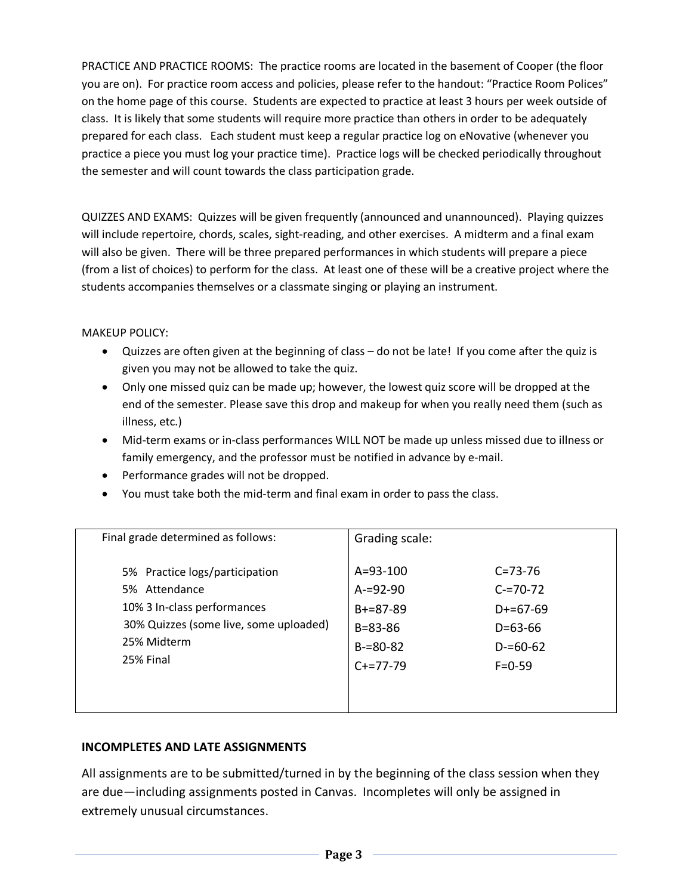PRACTICE AND PRACTICE ROOMS: The practice rooms are located in the basement of Cooper (the floor you are on). For practice room access and policies, please refer to the handout: "Practice Room Polices" on the home page of this course. Students are expected to practice at least 3 hours per week outside of class. It is likely that some students will require more practice than others in order to be adequately prepared for each class. Each student must keep a regular practice log on eNovative (whenever you practice a piece you must log your practice time). Practice logs will be checked periodically throughout the semester and will count towards the class participation grade.

QUIZZES AND EXAMS: Quizzes will be given frequently (announced and unannounced). Playing quizzes will include repertoire, chords, scales, sight-reading, and other exercises. A midterm and a final exam will also be given. There will be three prepared performances in which students will prepare a piece (from a list of choices) to perform for the class. At least one of these will be a creative project where the students accompanies themselves or a classmate singing or playing an instrument.

#### MAKEUP POLICY:

- Quizzes are often given at the beginning of class do not be late! If you come after the quiz is given you may not be allowed to take the quiz.
- Only one missed quiz can be made up; however, the lowest quiz score will be dropped at the end of the semester. Please save this drop and makeup for when you really need them (such as illness, etc.)
- Mid-term exams or in-class performances WILL NOT be made up unless missed due to illness or family emergency, and the professor must be notified in advance by e-mail.
- Performance grades will not be dropped.
- You must take both the mid-term and final exam in order to pass the class.

| Final grade determined as follows:     | Grading scale: |               |
|----------------------------------------|----------------|---------------|
| 5% Practice logs/participation         | $A = 93 - 100$ | $C = 73 - 76$ |
| 5% Attendance                          | $A = 92 - 90$  | $C = 70 - 72$ |
| 10% 3 In-class performances            | $B+=87-89$     | $D+=67-69$    |
| 30% Quizzes (some live, some uploaded) | $B = 83 - 86$  | $D = 63 - 66$ |
| 25% Midterm                            | $B = 80 - 82$  | $D = 60 - 62$ |
| 25% Final                              | $C+=77-79$     | $F = 0.59$    |

## **INCOMPLETES AND LATE ASSIGNMENTS**

All assignments are to be submitted/turned in by the beginning of the class session when they are due—including assignments posted in Canvas. Incompletes will only be assigned in extremely unusual circumstances.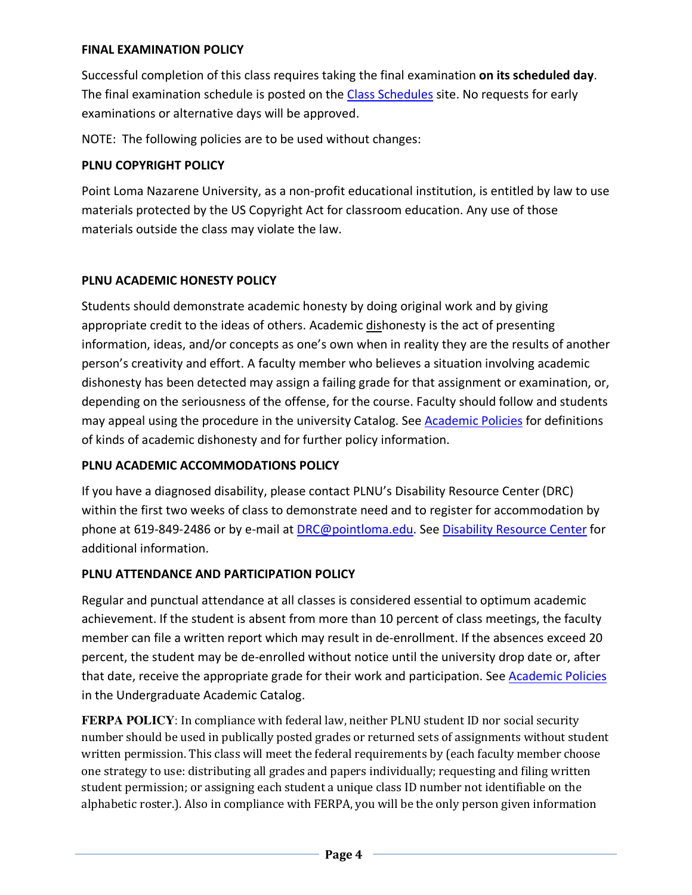## **FINAL EXAMINATION POLICY**

Successful completion of this class requires taking the final examination **on its scheduled day**. The final examination schedule is posted on the Class Schedules site. No requests for early examinations or alternative days will be approved.

NOTE: The following policies are to be used without changes:

## **PLNU COPYRIGHT POLICY**

Point Loma Nazarene University, as a non-profit educational institution, is entitled by law to use materials protected by the US Copyright Act for classroom education. Any use of those materials outside the class may violate the law.

## **PLNU ACADEMIC HONESTY POLICY**

Students should demonstrate academic honesty by doing original work and by giving appropriate credit to the ideas of others. Academic dishonesty is the act of presenting information, ideas, and/or concepts as one's own when in reality they are the results of another person's creativity and effort. A faculty member who believes a situation involving academic dishonesty has been detected may assign a failing grade for that assignment or examination, or, depending on the seriousness of the offense, for the course. Faculty should follow and students may appeal using the procedure in the university Catalog. See Academic Policies for definitions of kinds of academic dishonesty and for further policy information.

# **PLNU ACADEMIC ACCOMMODATIONS POLICY**

If you have a diagnosed disability, please contact PLNU's Disability Resource Center (DRC) within the first two weeks of class to demonstrate need and to register for accommodation by phone at 619-849-2486 or by e-mail at DRC@pointloma.edu. See Disability Resource Center for additional information.

# **PLNU ATTENDANCE AND PARTICIPATION POLICY**

Regular and punctual attendance at all classes is considered essential to optimum academic achievement. If the student is absent from more than 10 percent of class meetings, the faculty member can file a written report which may result in de-enrollment. If the absences exceed 20 percent, the student may be de-enrolled without notice until the university drop date or, after that date, receive the appropriate grade for their work and participation. See Academic Policies in the Undergraduate Academic Catalog.

FERPA POLICY: In compliance with federal law, neither PLNU student ID nor social security number should be used in publically posted grades or returned sets of assignments without student written permission. This class will meet the federal requirements by (each faculty member choose one strategy to use: distributing all grades and papers individually; requesting and filing written student permission; or assigning each student a unique class ID number not identifiable on the alphabetic roster.). Also in compliance with FERPA, you will be the only person given information